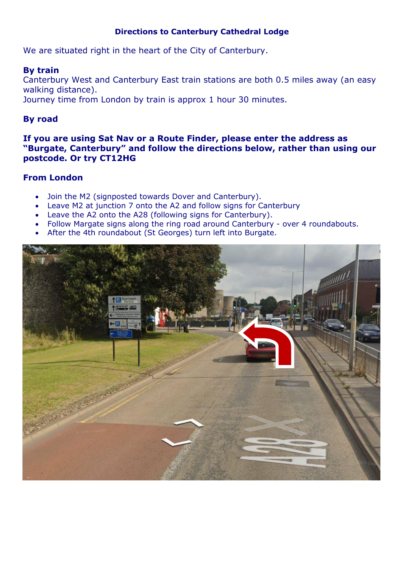# **Directions to Canterbury Cathedral Lodge**

We are situated right in the heart of the City of Canterbury.

# **By train**

Canterbury West and Canterbury East train stations are both 0.5 miles away (an easy walking distance). Journey time from London by train is approx 1 hour 30 minutes.

# **By road**

**If you are using Sat Nav or a Route Finder, please enter the address as "Burgate, Canterbury" and follow the directions below, rather than using our postcode. Or try CT12HG**

# **From London**

- Join the M2 (signposted towards Dover and Canterbury).
- Leave M2 at junction 7 onto the A2 and follow signs for Canterbury
- Leave the A2 onto the A28 (following signs for Canterbury).
- Follow Margate signs along the ring road around Canterbury over 4 roundabouts.
- After the 4th roundabout (St Georges) turn left into Burgate.

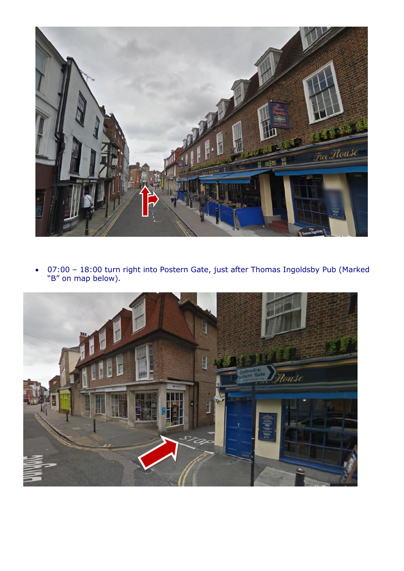

 07:00 – 18:00 turn right into Postern Gate, just after Thomas Ingoldsby Pub (Marked "B" on map below).

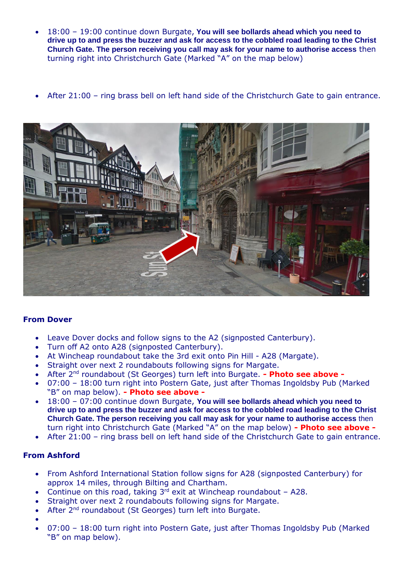- 18:00 19:00 continue down Burgate, **You will see bollards ahead which you need to drive up to and press the buzzer and ask for access to the cobbled road leading to the Christ Church Gate. The person receiving you call may ask for your name to authorise access** then turning right into Christchurch Gate (Marked "A" on the map below)
- After 21:00 ring brass bell on left hand side of the Christchurch Gate to gain entrance.



## **From Dover**

- Leave Dover docks and follow signs to the A2 (signposted Canterbury).
- Turn off A2 onto A28 (signposted Canterbury).
- At Wincheap roundabout take the 3rd exit onto Pin Hill A28 (Margate).
- Straight over next 2 roundabouts following signs for Margate.
- After 2nd roundabout (St Georges) turn left into Burgate. **- Photo see above -**
- 07:00 18:00 turn right into Postern Gate, just after Thomas Ingoldsby Pub (Marked "B" on map below). **- Photo see above -**
- 18:00 07:00 continue down Burgate, **You will see bollards ahead which you need to drive up to and press the buzzer and ask for access to the cobbled road leading to the Christ Church Gate. The person receiving you call may ask for your name to authorise access** then turn right into Christchurch Gate (Marked "A" on the map below) **- Photo see above -**
- After 21:00 ring brass bell on left hand side of the Christchurch Gate to gain entrance.

## **From Ashford**

- From Ashford International Station follow signs for A28 (signposted Canterbury) for approx 14 miles, through Bilting and Chartham.
- Continue on this road, taking  $3^{rd}$  exit at Wincheap roundabout A28.
- Straight over next 2 roundabouts following signs for Margate.
- After 2<sup>nd</sup> roundabout (St Georges) turn left into Burgate.
- $\bullet$
- 07:00 18:00 turn right into Postern Gate, just after Thomas Ingoldsby Pub (Marked "B" on map below).